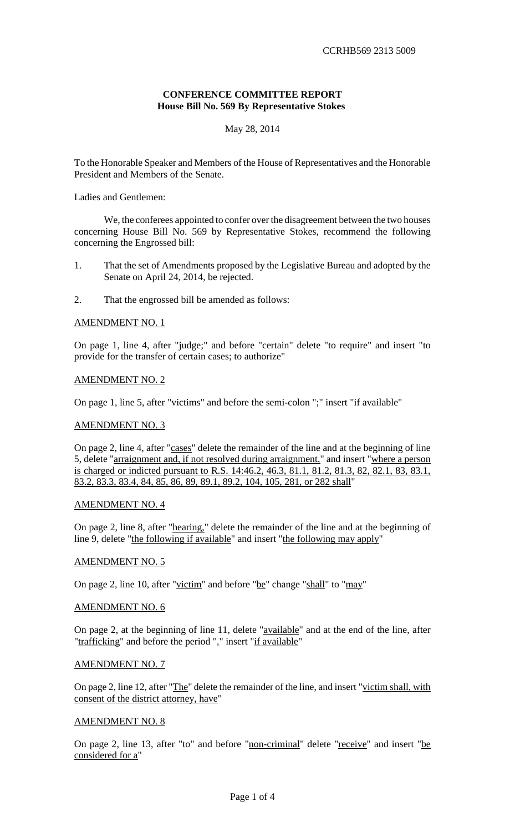### **CONFERENCE COMMITTEE REPORT House Bill No. 569 By Representative Stokes**

# May 28, 2014

To the Honorable Speaker and Members of the House of Representatives and the Honorable President and Members of the Senate.

Ladies and Gentlemen:

We, the conferees appointed to confer over the disagreement between the two houses concerning House Bill No. 569 by Representative Stokes, recommend the following concerning the Engrossed bill:

- 1. That the set of Amendments proposed by the Legislative Bureau and adopted by the Senate on April 24, 2014, be rejected.
- 2. That the engrossed bill be amended as follows:

### AMENDMENT NO. 1

On page 1, line 4, after "judge;" and before "certain" delete "to require" and insert "to provide for the transfer of certain cases; to authorize"

#### AMENDMENT NO. 2

On page 1, line 5, after "victims" and before the semi-colon ";" insert "if available"

#### AMENDMENT NO. 3

On page 2, line 4, after "cases" delete the remainder of the line and at the beginning of line 5, delete "arraignment and, if not resolved during arraignment," and insert "where a person is charged or indicted pursuant to R.S. 14:46.2, 46.3, 81.1, 81.2, 81.3, 82, 82.1, 83, 83.1, 83.2, 83.3, 83.4, 84, 85, 86, 89, 89.1, 89.2, 104, 105, 281, or 282 shall"

### AMENDMENT NO. 4

On page 2, line 8, after "hearing," delete the remainder of the line and at the beginning of line 9, delete "the following if available" and insert "the following may apply"

#### AMENDMENT NO. 5

On page 2, line 10, after "victim" and before "be" change "shall" to "may"

#### AMENDMENT NO. 6

On page 2, at the beginning of line 11, delete "available" and at the end of the line, after "trafficking" and before the period "." insert "if available"

#### AMENDMENT NO. 7

On page 2, line 12, after "The" delete the remainder of the line, and insert "victim shall, with consent of the district attorney, have"

#### AMENDMENT NO. 8

On page 2, line 13, after "to" and before "non-criminal" delete "receive" and insert "be considered for a"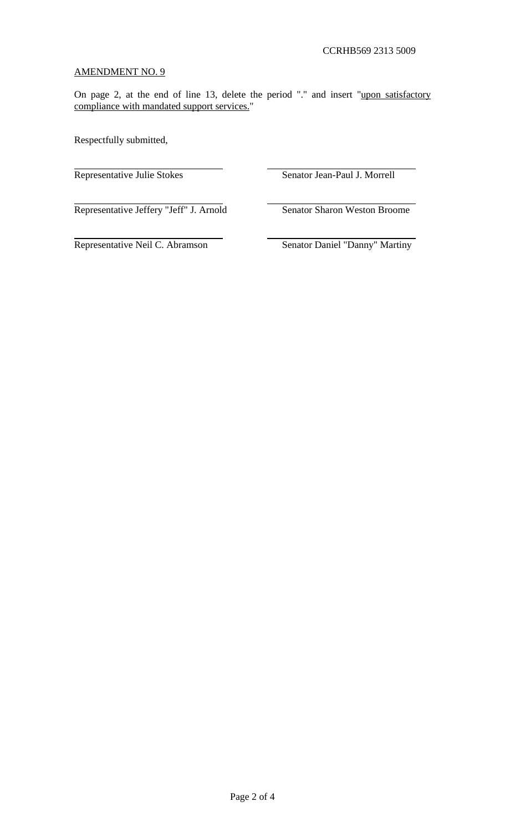# AMENDMENT NO. 9

On page 2, at the end of line 13, delete the period "." and insert "upon satisfactory compliance with mandated support services."

Respectfully submitted,

Representative Julie Stokes Senator Jean-Paul J. Morrell

Representative Jeffery "Jeff" J. Arnold Senator Sharon Weston Broome

Representative Neil C. Abramson Senator Daniel "Danny" Martiny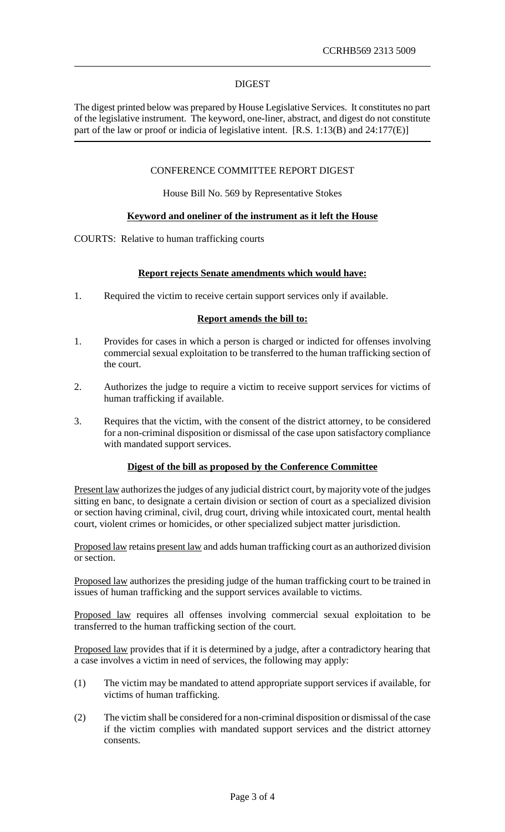### DIGEST

The digest printed below was prepared by House Legislative Services. It constitutes no part of the legislative instrument. The keyword, one-liner, abstract, and digest do not constitute part of the law or proof or indicia of legislative intent. [R.S. 1:13(B) and 24:177(E)]

# CONFERENCE COMMITTEE REPORT DIGEST

House Bill No. 569 by Representative Stokes

### **Keyword and oneliner of the instrument as it left the House**

COURTS: Relative to human trafficking courts

### **Report rejects Senate amendments which would have:**

1. Required the victim to receive certain support services only if available.

#### **Report amends the bill to:**

- 1. Provides for cases in which a person is charged or indicted for offenses involving commercial sexual exploitation to be transferred to the human trafficking section of the court.
- 2. Authorizes the judge to require a victim to receive support services for victims of human trafficking if available.
- 3. Requires that the victim, with the consent of the district attorney, to be considered for a non-criminal disposition or dismissal of the case upon satisfactory compliance with mandated support services.

### **Digest of the bill as proposed by the Conference Committee**

Present law authorizes the judges of any judicial district court, by majority vote of the judges sitting en banc, to designate a certain division or section of court as a specialized division or section having criminal, civil, drug court, driving while intoxicated court, mental health court, violent crimes or homicides, or other specialized subject matter jurisdiction.

Proposed law retains present law and adds human trafficking court as an authorized division or section.

Proposed law authorizes the presiding judge of the human trafficking court to be trained in issues of human trafficking and the support services available to victims.

Proposed law requires all offenses involving commercial sexual exploitation to be transferred to the human trafficking section of the court.

Proposed law provides that if it is determined by a judge, after a contradictory hearing that a case involves a victim in need of services, the following may apply:

- (1) The victim may be mandated to attend appropriate support services if available, for victims of human trafficking.
- (2) The victim shall be considered for a non-criminal disposition or dismissal of the case if the victim complies with mandated support services and the district attorney consents.